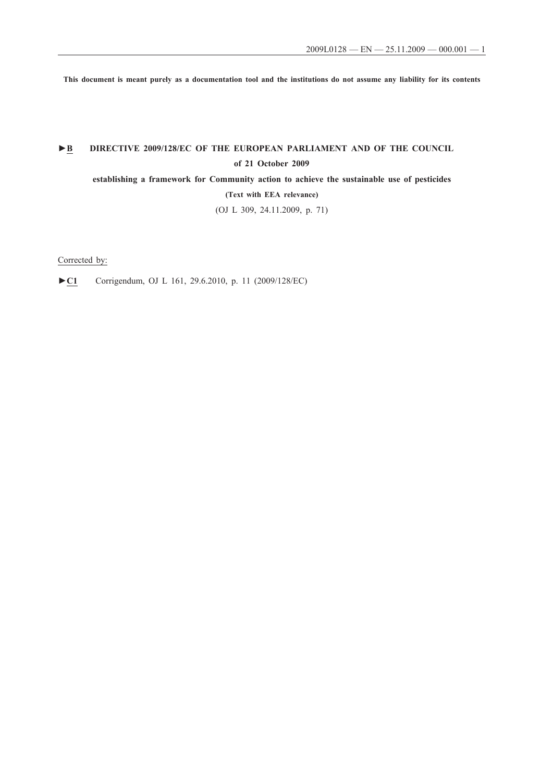**This document is meant purely as a documentation tool and the institutions do not assume any liability for its contents**

# **►B DIRECTIVE 2009/128/EC OF THE EUROPEAN PARLIAMENT AND OF THE COUNCIL of 21 October 2009**

**establishing a framework for Community action to achieve the sustainable use of pesticides**

**(Text with EEA relevance)**

(OJ L 309, 24.11.2009, p. 71)

## Corrected by:

►**C1** Corrigendum, OJ L 161, 29.6.2010, p. 11 (2009/128/EC)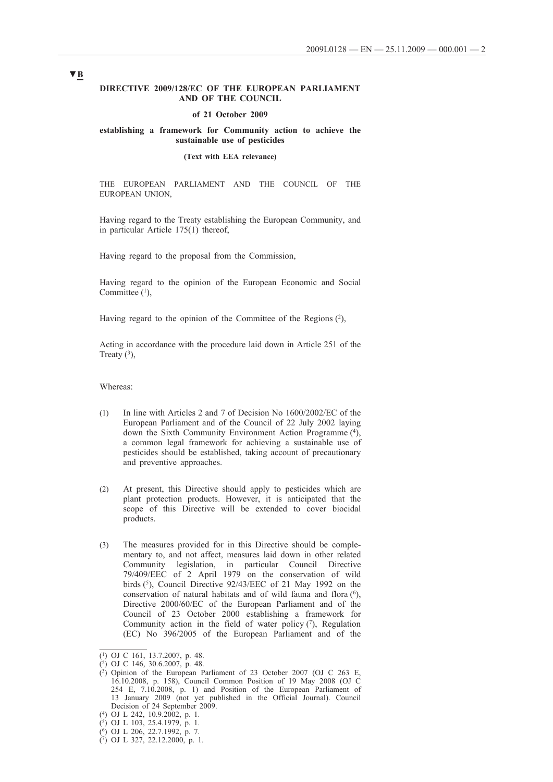#### **DIRECTIVE 2009/128/EC OF THE EUROPEAN PARLIAMENT AND OF THE COUNCIL**

#### **of 21 October 2009**

### **establishing a framework for Community action to achieve the sustainable use of pesticides**

**(Text with EEA relevance)**

THE EUROPEAN PARLIAMENT AND THE COUNCIL OF THE EUROPEAN UNION,

Having regard to the Treaty establishing the European Community, and in particular Article 175(1) thereof,

Having regard to the proposal from the Commission,

Having regard to the opinion of the European Economic and Social Committee  $(1)$ ,

Having regard to the opinion of the Committee of the Regions  $(2)$ ,

Acting in accordance with the procedure laid down in Article 251 of the Treaty  $(3)$ ,

#### Whereas:

- (1) In line with Articles 2 and 7 of Decision No 1600/2002/EC of the European Parliament and of the Council of 22 July 2002 laying down the Sixth Community Environment Action Programme (4), a common legal framework for achieving a sustainable use of pesticides should be established, taking account of precautionary and preventive approaches.
- (2) At present, this Directive should apply to pesticides which are plant protection products. However, it is anticipated that the scope of this Directive will be extended to cover biocidal products.
- (3) The measures provided for in this Directive should be complementary to, and not affect, measures laid down in other related Community legislation, in particular Council Directive 79/409/EEC of 2 April 1979 on the conservation of wild birds (5), Council Directive 92/43/EEC of 21 May 1992 on the conservation of natural habitats and of wild fauna and flora (6), Directive 2000/60/EC of the European Parliament and of the Council of 23 October 2000 establishing a framework for Community action in the field of water policy  $(7)$ , Regulation (EC) No 396/2005 of the European Parliament and of the

 $\overline{(^1)}$  OJ C 161, 13.7.2007, p. 48.

 $(2)$  OJ C 146, 30.6.2007, p. 48.

<sup>(3)</sup> Opinion of the European Parliament of 23 October 2007 (OJ C 263 E, 16.10.2008, p. 158), Council Common Position of 19 May 2008 (OJ C 254 E, 7.10.2008, p. 1) and Position of the European Parliament of 13 January 2009 (not yet published in the Official Journal). Council Decision of 24 September 2009.

<sup>(4)</sup> OJ L 242, 10.9.2002, p. 1.

<sup>(5)</sup> OJ L 103, 25.4.1979, p. 1.

<sup>(6)</sup> OJ L 206, 22.7.1992, p. 7. (7) OJ L 327, 22.12.2000, p. 1.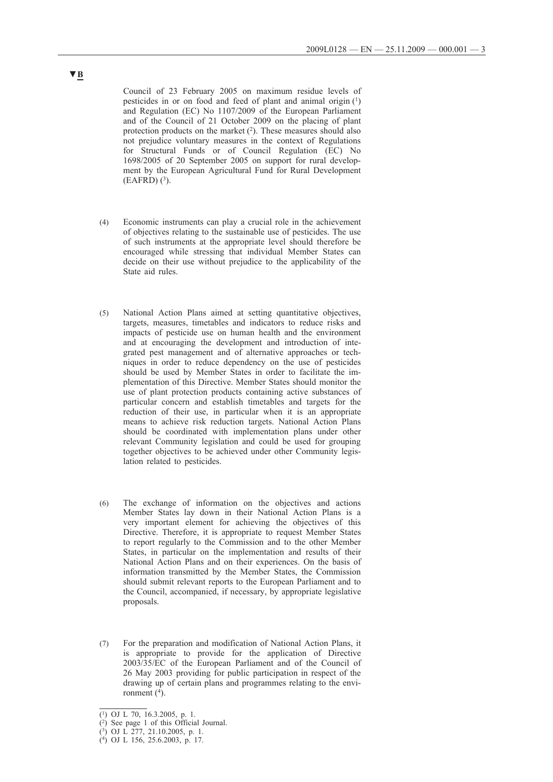Council of 23 February 2005 on maximum residue levels of pesticides in or on food and feed of plant and animal origin  $(1)$ and Regulation (EC) No 1107/2009 of the European Parliament and of the Council of 21 October 2009 on the placing of plant protection products on the market (2). These measures should also not prejudice voluntary measures in the context of Regulations for Structural Funds or of Council Regulation (EC) No 1698/2005 of 20 September 2005 on support for rural development by the European Agricultural Fund for Rural Development  $(EAFRD)$  $(3)$ .

- (4) Economic instruments can play a crucial role in the achievement of objectives relating to the sustainable use of pesticides. The use of such instruments at the appropriate level should therefore be encouraged while stressing that individual Member States can decide on their use without prejudice to the applicability of the State aid rules.
- (5) National Action Plans aimed at setting quantitative objectives, targets, measures, timetables and indicators to reduce risks and impacts of pesticide use on human health and the environment and at encouraging the development and introduction of integrated pest management and of alternative approaches or techniques in order to reduce dependency on the use of pesticides should be used by Member States in order to facilitate the implementation of this Directive. Member States should monitor the use of plant protection products containing active substances of particular concern and establish timetables and targets for the reduction of their use, in particular when it is an appropriate means to achieve risk reduction targets. National Action Plans should be coordinated with implementation plans under other relevant Community legislation and could be used for grouping together objectives to be achieved under other Community legislation related to pesticides.
- (6) The exchange of information on the objectives and actions Member States lay down in their National Action Plans is a very important element for achieving the objectives of this Directive. Therefore, it is appropriate to request Member States to report regularly to the Commission and to the other Member States, in particular on the implementation and results of their National Action Plans and on their experiences. On the basis of information transmitted by the Member States, the Commission should submit relevant reports to the European Parliament and to the Council, accompanied, if necessary, by appropriate legislative proposals.
- (7) For the preparation and modification of National Action Plans, it is appropriate to provide for the application of Directive 2003/35/EC of the European Parliament and of the Council of 26 May 2003 providing for public participation in respect of the drawing up of certain plans and programmes relating to the environment  $(4)$ .

 $(1)$  OJ L 70, 16.3.2005, p. 1.

<sup>(2)</sup> See page 1 of this Official Journal.

<sup>(3)</sup> OJ L 277, 21.10.2005, p. 1.

<sup>(4)</sup> OJ L 156, 25.6.2003, p. 17.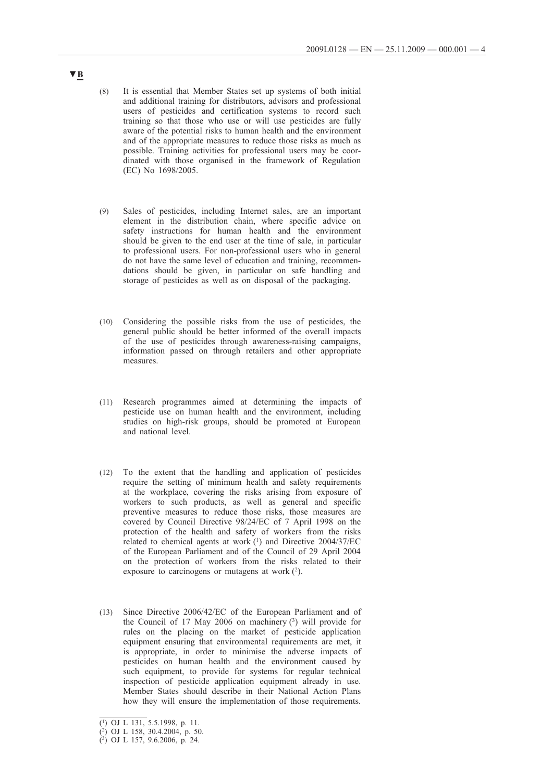- (8) It is essential that Member States set up systems of both initial and additional training for distributors, advisors and professional users of pesticides and certification systems to record such training so that those who use or will use pesticides are fully aware of the potential risks to human health and the environment and of the appropriate measures to reduce those risks as much as possible. Training activities for professional users may be coordinated with those organised in the framework of Regulation (EC) No 1698/2005.
- (9) Sales of pesticides, including Internet sales, are an important element in the distribution chain, where specific advice on safety instructions for human health and the environment should be given to the end user at the time of sale, in particular to professional users. For non-professional users who in general do not have the same level of education and training, recommendations should be given, in particular on safe handling and storage of pesticides as well as on disposal of the packaging.
- (10) Considering the possible risks from the use of pesticides, the general public should be better informed of the overall impacts of the use of pesticides through awareness-raising campaigns, information passed on through retailers and other appropriate measures.
- (11) Research programmes aimed at determining the impacts of pesticide use on human health and the environment, including studies on high-risk groups, should be promoted at European and national level.
- (12) To the extent that the handling and application of pesticides require the setting of minimum health and safety requirements at the workplace, covering the risks arising from exposure of workers to such products, as well as general and specific preventive measures to reduce those risks, those measures are covered by Council Directive 98/24/EC of 7 April 1998 on the protection of the health and safety of workers from the risks related to chemical agents at work  $(1)$  and Directive 2004/37/EC of the European Parliament and of the Council of 29 April 2004 on the protection of workers from the risks related to their exposure to carcinogens or mutagens at work (2).
- (13) Since Directive 2006/42/EC of the European Parliament and of the Council of 17 May 2006 on machinery  $(3)$  will provide for rules on the placing on the market of pesticide application equipment ensuring that environmental requirements are met, it is appropriate, in order to minimise the adverse impacts of pesticides on human health and the environment caused by such equipment, to provide for systems for regular technical inspection of pesticide application equipment already in use. Member States should describe in their National Action Plans how they will ensure the implementation of those requirements.

<sup>(1)</sup> OJ L 131, 5.5.1998, p. 11.

<sup>(2)</sup> OJ L 158, 30.4.2004, p. 50.

<sup>(3)</sup> OJ L 157, 9.6.2006, p. 24.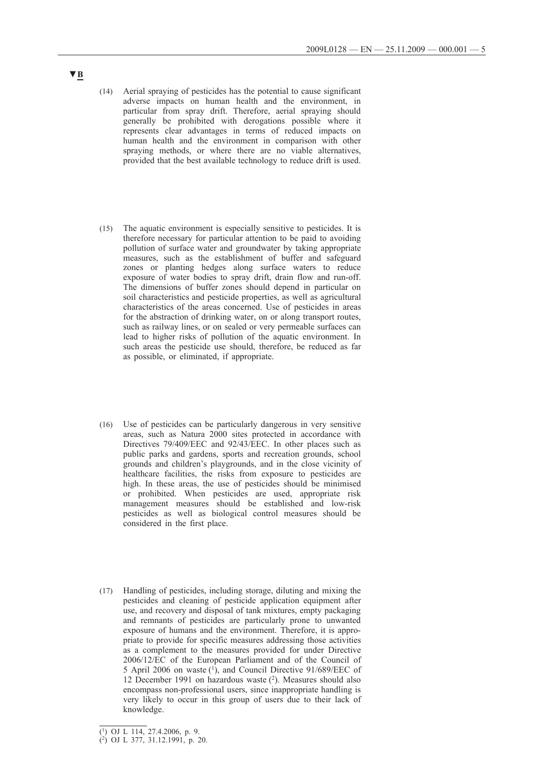- (14) Aerial spraying of pesticides has the potential to cause significant adverse impacts on human health and the environment, in particular from spray drift. Therefore, aerial spraying should generally be prohibited with derogations possible where it represents clear advantages in terms of reduced impacts on human health and the environment in comparison with other spraying methods, or where there are no viable alternatives, provided that the best available technology to reduce drift is used.
- (15) The aquatic environment is especially sensitive to pesticides. It is therefore necessary for particular attention to be paid to avoiding pollution of surface water and groundwater by taking appropriate measures, such as the establishment of buffer and safeguard zones or planting hedges along surface waters to reduce exposure of water bodies to spray drift, drain flow and run-off. The dimensions of buffer zones should depend in particular on soil characteristics and pesticide properties, as well as agricultural characteristics of the areas concerned. Use of pesticides in areas for the abstraction of drinking water, on or along transport routes, such as railway lines, or on sealed or very permeable surfaces can lead to higher risks of pollution of the aquatic environment. In such areas the pesticide use should, therefore, be reduced as far as possible, or eliminated, if appropriate.
- (16) Use of pesticides can be particularly dangerous in very sensitive areas, such as Natura 2000 sites protected in accordance with Directives 79/409/EEC and 92/43/EEC. In other places such as public parks and gardens, sports and recreation grounds, school grounds and children's playgrounds, and in the close vicinity of healthcare facilities, the risks from exposure to pesticides are high. In these areas, the use of pesticides should be minimised or prohibited. When pesticides are used, appropriate risk management measures should be established and low-risk pesticides as well as biological control measures should be considered in the first place.
- (17) Handling of pesticides, including storage, diluting and mixing the pesticides and cleaning of pesticide application equipment after use, and recovery and disposal of tank mixtures, empty packaging and remnants of pesticides are particularly prone to unwanted exposure of humans and the environment. Therefore, it is appropriate to provide for specific measures addressing those activities as a complement to the measures provided for under Directive 2006/12/EC of the European Parliament and of the Council of 5 April 2006 on waste  $(1)$ , and Council Directive 91/689/EEC of 12 December 1991 on hazardous waste (2). Measures should also encompass non-professional users, since inappropriate handling is very likely to occur in this group of users due to their lack of knowledge.

<sup>(1)</sup> OJ L 114, 27.4.2006, p. 9.

<sup>(2)</sup> OJ L 377, 31.12.1991, p. 20.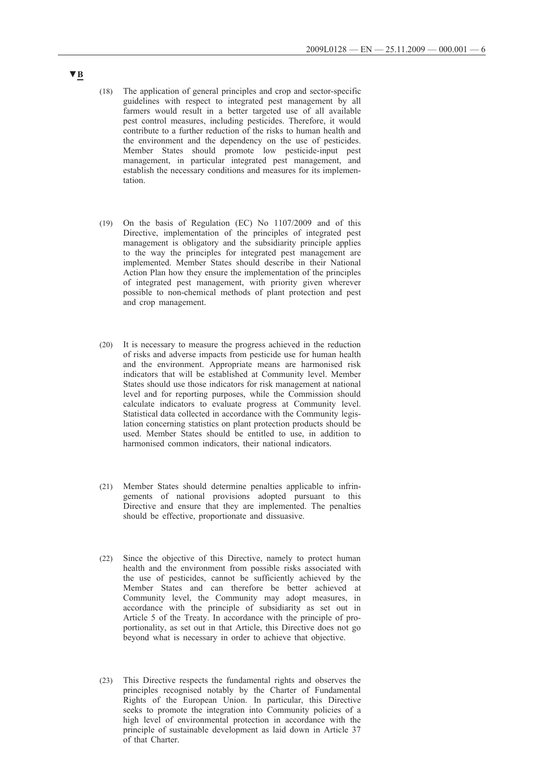- (18) The application of general principles and crop and sector-specific guidelines with respect to integrated pest management by all farmers would result in a better targeted use of all available pest control measures, including pesticides. Therefore, it would contribute to a further reduction of the risks to human health and the environment and the dependency on the use of pesticides. Member States should promote low pesticide-input pest management, in particular integrated pest management, and establish the necessary conditions and measures for its implementation.
- (19) On the basis of Regulation (EC) No 1107/2009 and of this Directive, implementation of the principles of integrated pest management is obligatory and the subsidiarity principle applies to the way the principles for integrated pest management are implemented. Member States should describe in their National Action Plan how they ensure the implementation of the principles of integrated pest management, with priority given wherever possible to non-chemical methods of plant protection and pest and crop management.
- (20) It is necessary to measure the progress achieved in the reduction of risks and adverse impacts from pesticide use for human health and the environment. Appropriate means are harmonised risk indicators that will be established at Community level. Member States should use those indicators for risk management at national level and for reporting purposes, while the Commission should calculate indicators to evaluate progress at Community level. Statistical data collected in accordance with the Community legislation concerning statistics on plant protection products should be used. Member States should be entitled to use, in addition to harmonised common indicators, their national indicators.
- (21) Member States should determine penalties applicable to infringements of national provisions adopted pursuant to this Directive and ensure that they are implemented. The penalties should be effective, proportionate and dissuasive.
- (22) Since the objective of this Directive, namely to protect human health and the environment from possible risks associated with the use of pesticides, cannot be sufficiently achieved by the Member States and can therefore be better achieved at Community level, the Community may adopt measures, in accordance with the principle of subsidiarity as set out in Article 5 of the Treaty. In accordance with the principle of proportionality, as set out in that Article, this Directive does not go beyond what is necessary in order to achieve that objective.
- (23) This Directive respects the fundamental rights and observes the principles recognised notably by the Charter of Fundamental Rights of the European Union. In particular, this Directive seeks to promote the integration into Community policies of a high level of environmental protection in accordance with the principle of sustainable development as laid down in Article 37 of that Charter.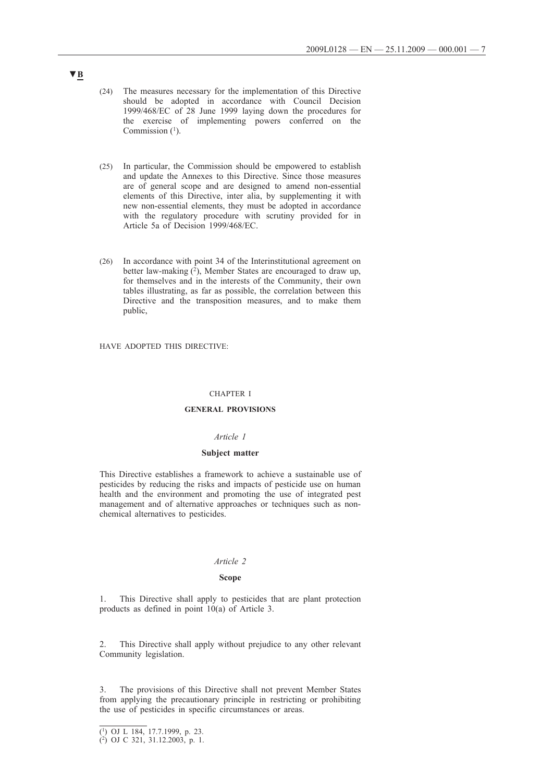- (24) The measures necessary for the implementation of this Directive should be adopted in accordance with Council Decision 1999/468/EC of 28 June 1999 laying down the procedures for the exercise of implementing powers conferred on the Commission (1).
- (25) In particular, the Commission should be empowered to establish and update the Annexes to this Directive. Since those measures are of general scope and are designed to amend non-essential elements of this Directive, inter alia, by supplementing it with new non-essential elements, they must be adopted in accordance with the regulatory procedure with scrutiny provided for in Article 5a of Decision 1999/468/EC.
- (26) In accordance with point 34 of the Interinstitutional agreement on better law-making  $(\overline{2})$ , Member States are encouraged to draw up, for themselves and in the interests of the Community, their own tables illustrating, as far as possible, the correlation between this Directive and the transposition measures, and to make them public,

#### HAVE ADOPTED THIS DIRECTIVE:

#### CHAPTER I

#### **GENERAL PROVISIONS**

#### *Article 1*

#### **Subject matter**

This Directive establishes a framework to achieve a sustainable use of pesticides by reducing the risks and impacts of pesticide use on human health and the environment and promoting the use of integrated pest management and of alternative approaches or techniques such as nonchemical alternatives to pesticides.

#### *Article 2*

#### **Scope**

1. This Directive shall apply to pesticides that are plant protection products as defined in point 10(a) of Article 3.

2. This Directive shall apply without prejudice to any other relevant Community legislation.

3. The provisions of this Directive shall not prevent Member States from applying the precautionary principle in restricting or prohibiting the use of pesticides in specific circumstances or areas.

<sup>(1)</sup> OJ L 184, 17.7.1999, p. 23.

<sup>(2)</sup> OJ C 321, 31.12.2003, p. 1.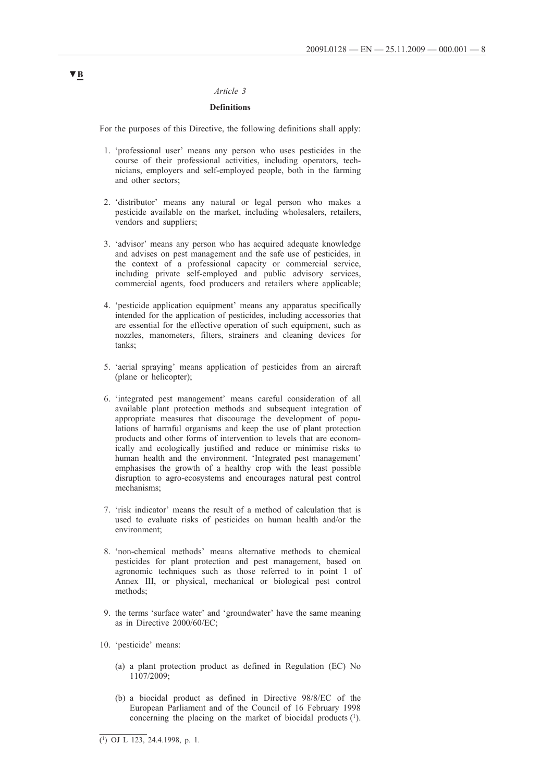## **Definitions**

For the purposes of this Directive, the following definitions shall apply:

- 1. 'professional user' means any person who uses pesticides in the course of their professional activities, including operators, technicians, employers and self-employed people, both in the farming and other sectors;
- 2. 'distributor' means any natural or legal person who makes a pesticide available on the market, including wholesalers, retailers, vendors and suppliers;
- 3. 'advisor' means any person who has acquired adequate knowledge and advises on pest management and the safe use of pesticides, in the context of a professional capacity or commercial service, including private self-employed and public advisory services, commercial agents, food producers and retailers where applicable;
- 4. 'pesticide application equipment' means any apparatus specifically intended for the application of pesticides, including accessories that are essential for the effective operation of such equipment, such as nozzles, manometers, filters, strainers and cleaning devices for tanks;
- 5. 'aerial spraying' means application of pesticides from an aircraft (plane or helicopter);
- 6. 'integrated pest management' means careful consideration of all available plant protection methods and subsequent integration of appropriate measures that discourage the development of populations of harmful organisms and keep the use of plant protection products and other forms of intervention to levels that are economically and ecologically justified and reduce or minimise risks to human health and the environment. 'Integrated pest management' emphasises the growth of a healthy crop with the least possible disruption to agro-ecosystems and encourages natural pest control mechanisms;
- 7. 'risk indicator' means the result of a method of calculation that is used to evaluate risks of pesticides on human health and/or the environment;
- 8. 'non-chemical methods' means alternative methods to chemical pesticides for plant protection and pest management, based on agronomic techniques such as those referred to in point 1 of Annex III, or physical, mechanical or biological pest control methods;
- 9. the terms 'surface water' and 'groundwater' have the same meaning as in Directive 2000/60/EC;
- 10. 'pesticide' means:
	- (a) a plant protection product as defined in Regulation (EC) No 1107/2009;
	- (b) a biocidal product as defined in Directive 98/8/EC of the European Parliament and of the Council of 16 February 1998 concerning the placing on the market of biocidal products  $(1)$ .

 $\overline{(^1)}$  OJ L 123, 24.4.1998, p. 1.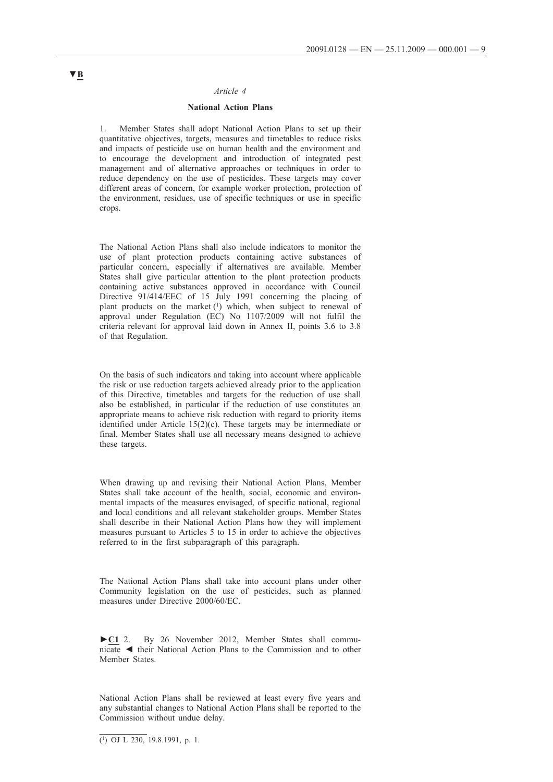### **National Action Plans**

1. Member States shall adopt National Action Plans to set up their quantitative objectives, targets, measures and timetables to reduce risks and impacts of pesticide use on human health and the environment and to encourage the development and introduction of integrated pest management and of alternative approaches or techniques in order to reduce dependency on the use of pesticides. These targets may cover different areas of concern, for example worker protection, protection of the environment, residues, use of specific techniques or use in specific crops.

The National Action Plans shall also include indicators to monitor the use of plant protection products containing active substances of particular concern, especially if alternatives are available. Member States shall give particular attention to the plant protection products containing active substances approved in accordance with Council Directive 91/414/EEC of 15 July 1991 concerning the placing of plant products on the market (1) which, when subject to renewal of approval under Regulation (EC) No 1107/2009 will not fulfil the criteria relevant for approval laid down in Annex II, points 3.6 to 3.8 of that Regulation.

On the basis of such indicators and taking into account where applicable the risk or use reduction targets achieved already prior to the application of this Directive, timetables and targets for the reduction of use shall also be established, in particular if the reduction of use constitutes an appropriate means to achieve risk reduction with regard to priority items identified under Article 15(2)(c). These targets may be intermediate or final. Member States shall use all necessary means designed to achieve these targets.

When drawing up and revising their National Action Plans, Member States shall take account of the health, social, economic and environmental impacts of the measures envisaged, of specific national, regional and local conditions and all relevant stakeholder groups. Member States shall describe in their National Action Plans how they will implement measures pursuant to Articles 5 to 15 in order to achieve the objectives referred to in the first subparagraph of this paragraph.

The National Action Plans shall take into account plans under other Community legislation on the use of pesticides, such as planned measures under Directive 2000/60/EC.

**►C1** 2. By 26 November 2012, Member States shall communicate ◄ their National Action Plans to the Commission and to other Member States.

National Action Plans shall be reviewed at least every five years and any substantial changes to National Action Plans shall be reported to the Commission without undue delay.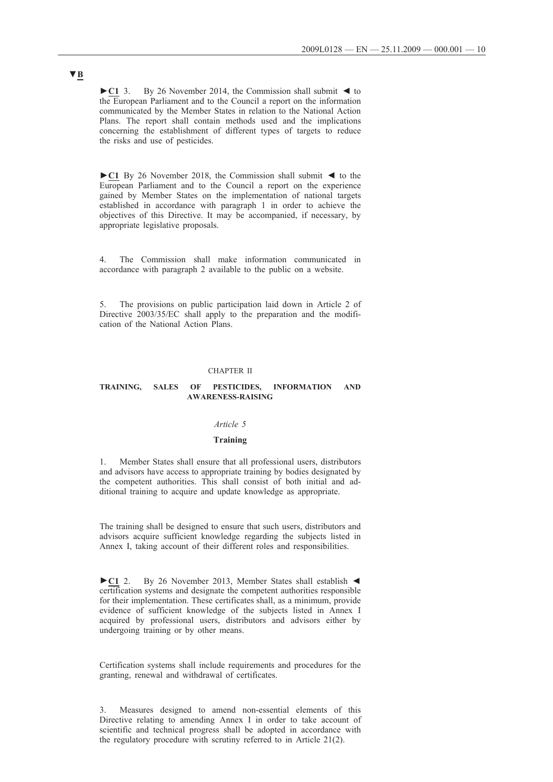**►C1** 3. By 26 November 2014, the Commission shall submit ◄ to the European Parliament and to the Council a report on the information communicated by the Member States in relation to the National Action Plans. The report shall contain methods used and the implications concerning the establishment of different types of targets to reduce the risks and use of pesticides.

**►C1** By 26 November 2018, the Commission shall submit ◄ to the European Parliament and to the Council a report on the experience gained by Member States on the implementation of national targets established in accordance with paragraph 1 in order to achieve the objectives of this Directive. It may be accompanied, if necessary, by appropriate legislative proposals.

4. The Commission shall make information communicated in accordance with paragraph 2 available to the public on a website.

5. The provisions on public participation laid down in Article 2 of Directive 2003/35/EC shall apply to the preparation and the modification of the National Action Plans.

#### CHAPTER II

#### **TRAINING, SALES OF PESTICIDES, INFORMATION AND AWARENESS-RAISING**

#### *Article 5*

#### **Training**

1. Member States shall ensure that all professional users, distributors and advisors have access to appropriate training by bodies designated by the competent authorities. This shall consist of both initial and additional training to acquire and update knowledge as appropriate.

The training shall be designed to ensure that such users, distributors and advisors acquire sufficient knowledge regarding the subjects listed in Annex I, taking account of their different roles and responsibilities.

**►C1** 2. By 26 November 2013, Member States shall establish ◄ certification systems and designate the competent authorities responsible for their implementation. These certificates shall, as a minimum, provide evidence of sufficient knowledge of the subjects listed in Annex I acquired by professional users, distributors and advisors either by undergoing training or by other means.

Certification systems shall include requirements and procedures for the granting, renewal and withdrawal of certificates.

3. Measures designed to amend non-essential elements of this Directive relating to amending Annex I in order to take account of scientific and technical progress shall be adopted in accordance with the regulatory procedure with scrutiny referred to in Article 21(2).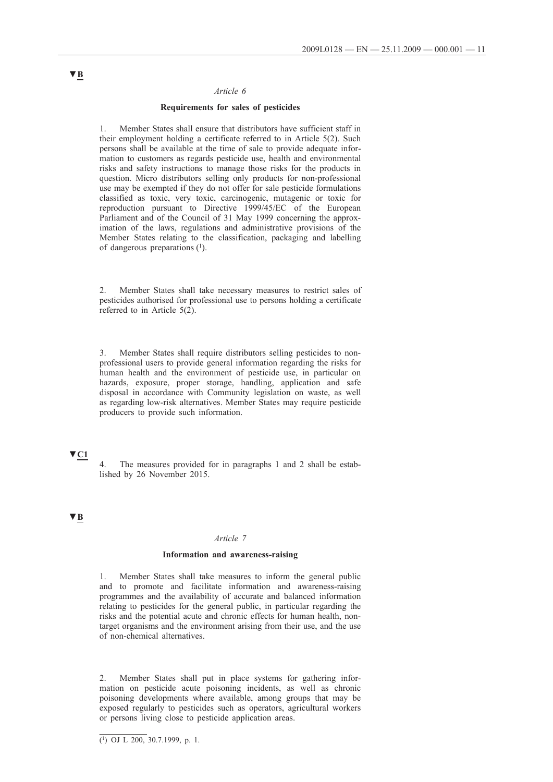### **Requirements for sales of pesticides**

1. Member States shall ensure that distributors have sufficient staff in their employment holding a certificate referred to in Article 5(2). Such persons shall be available at the time of sale to provide adequate information to customers as regards pesticide use, health and environmental risks and safety instructions to manage those risks for the products in question. Micro distributors selling only products for non-professional use may be exempted if they do not offer for sale pesticide formulations classified as toxic, very toxic, carcinogenic, mutagenic or toxic for reproduction pursuant to Directive 1999/45/EC of the European Parliament and of the Council of 31 May 1999 concerning the approximation of the laws, regulations and administrative provisions of the Member States relating to the classification, packaging and labelling of dangerous preparations  $(1)$ .

2. Member States shall take necessary measures to restrict sales of pesticides authorised for professional use to persons holding a certificate referred to in Article 5(2).

3. Member States shall require distributors selling pesticides to nonprofessional users to provide general information regarding the risks for human health and the environment of pesticide use, in particular on hazards, exposure, proper storage, handling, application and safe disposal in accordance with Community legislation on waste, as well as regarding low-risk alternatives. Member States may require pesticide producers to provide such information.

## **▼C1**

4. The measures provided for in paragraphs 1 and 2 shall be established by 26 November 2015.

### **▼B**

#### *Article 7*

#### **Information and awareness-raising**

1. Member States shall take measures to inform the general public and to promote and facilitate information and awareness-raising programmes and the availability of accurate and balanced information relating to pesticides for the general public, in particular regarding the risks and the potential acute and chronic effects for human health, nontarget organisms and the environment arising from their use, and the use of non-chemical alternatives.

2. Member States shall put in place systems for gathering information on pesticide acute poisoning incidents, as well as chronic poisoning developments where available, among groups that may be exposed regularly to pesticides such as operators, agricultural workers or persons living close to pesticide application areas.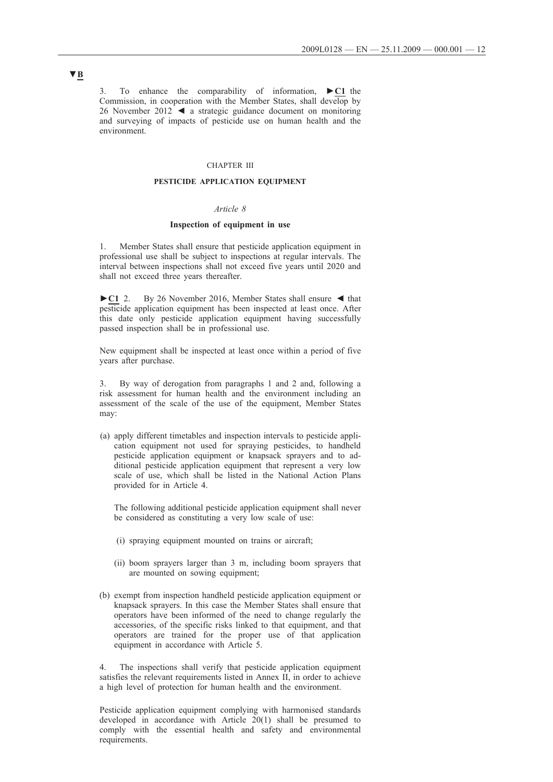3. To enhance the comparability of information, **►C1** the Commission, in cooperation with the Member States, shall develop by 26 November 2012 ◄ a strategic guidance document on monitoring and surveying of impacts of pesticide use on human health and the environment.

#### CHAPTER III

### **PESTICIDE APPLICATION EQUIPMENT**

## *Article 8*

### **Inspection of equipment in use**

1. Member States shall ensure that pesticide application equipment in professional use shall be subject to inspections at regular intervals. The interval between inspections shall not exceed five years until 2020 and shall not exceed three years thereafter.

**►C1** 2. By 26 November 2016, Member States shall ensure ◄ that pesticide application equipment has been inspected at least once. After this date only pesticide application equipment having successfully passed inspection shall be in professional use.

New equipment shall be inspected at least once within a period of five years after purchase.

3. By way of derogation from paragraphs 1 and 2 and, following a risk assessment for human health and the environment including an assessment of the scale of the use of the equipment, Member States may:

(a) apply different timetables and inspection intervals to pesticide application equipment not used for spraying pesticides, to handheld pesticide application equipment or knapsack sprayers and to additional pesticide application equipment that represent a very low scale of use, which shall be listed in the National Action Plans provided for in Article 4.

The following additional pesticide application equipment shall never be considered as constituting a very low scale of use:

- (i) spraying equipment mounted on trains or aircraft;
- (ii) boom sprayers larger than 3 m, including boom sprayers that are mounted on sowing equipment;
- (b) exempt from inspection handheld pesticide application equipment or knapsack sprayers. In this case the Member States shall ensure that operators have been informed of the need to change regularly the accessories, of the specific risks linked to that equipment, and that operators are trained for the proper use of that application equipment in accordance with Article 5.

4. The inspections shall verify that pesticide application equipment satisfies the relevant requirements listed in Annex II, in order to achieve a high level of protection for human health and the environment.

Pesticide application equipment complying with harmonised standards developed in accordance with Article 20(1) shall be presumed to comply with the essential health and safety and environmental requirements.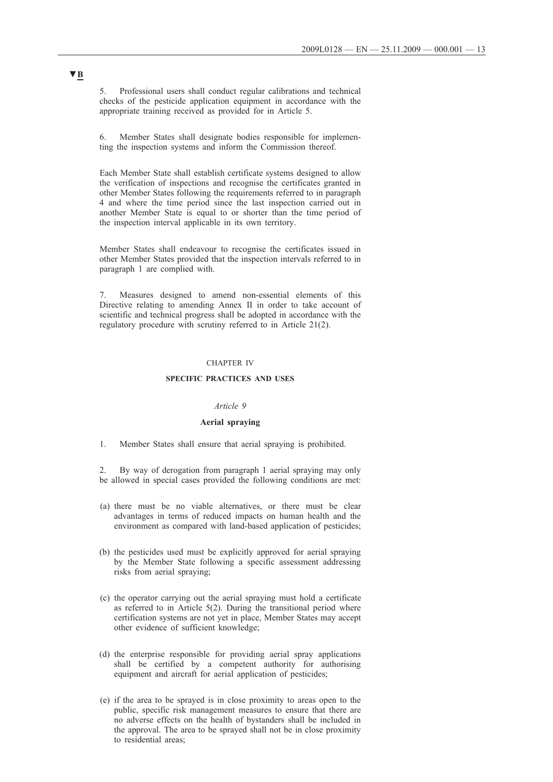5. Professional users shall conduct regular calibrations and technical checks of the pesticide application equipment in accordance with the appropriate training received as provided for in Article 5.

6. Member States shall designate bodies responsible for implementing the inspection systems and inform the Commission thereof.

Each Member State shall establish certificate systems designed to allow the verification of inspections and recognise the certificates granted in other Member States following the requirements referred to in paragraph 4 and where the time period since the last inspection carried out in another Member State is equal to or shorter than the time period of the inspection interval applicable in its own territory.

Member States shall endeavour to recognise the certificates issued in other Member States provided that the inspection intervals referred to in paragraph 1 are complied with.

7. Measures designed to amend non-essential elements of this Directive relating to amending Annex II in order to take account of scientific and technical progress shall be adopted in accordance with the regulatory procedure with scrutiny referred to in Article 21(2).

### CHAPTER IV

### **SPECIFIC PRACTICES AND USES**

#### *Article 9*

#### **Aerial spraying**

1. Member States shall ensure that aerial spraying is prohibited.

2. By way of derogation from paragraph 1 aerial spraying may only be allowed in special cases provided the following conditions are met:

- (a) there must be no viable alternatives, or there must be clear advantages in terms of reduced impacts on human health and the environment as compared with land-based application of pesticides;
- (b) the pesticides used must be explicitly approved for aerial spraying by the Member State following a specific assessment addressing risks from aerial spraying;
- (c) the operator carrying out the aerial spraying must hold a certificate as referred to in Article 5(2). During the transitional period where certification systems are not yet in place, Member States may accept other evidence of sufficient knowledge;
- (d) the enterprise responsible for providing aerial spray applications shall be certified by a competent authority for authorising equipment and aircraft for aerial application of pesticides;
- (e) if the area to be sprayed is in close proximity to areas open to the public, specific risk management measures to ensure that there are no adverse effects on the health of bystanders shall be included in the approval. The area to be sprayed shall not be in close proximity to residential areas;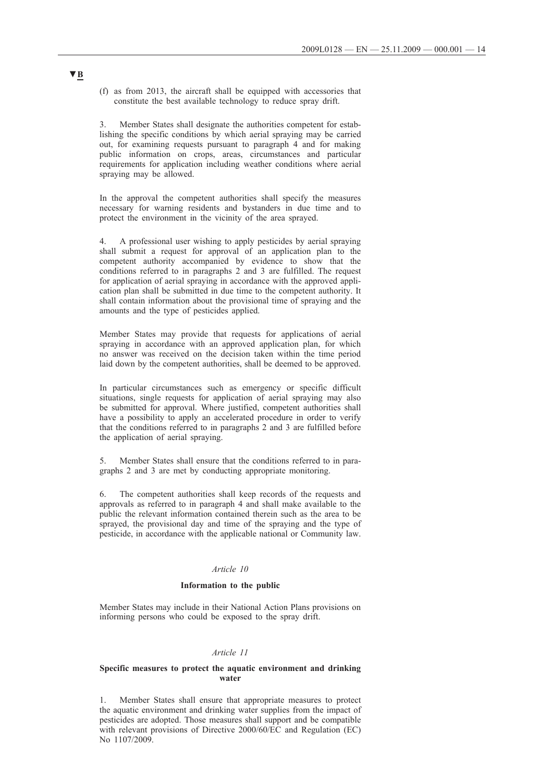(f) as from 2013, the aircraft shall be equipped with accessories that constitute the best available technology to reduce spray drift.

Member States shall designate the authorities competent for establishing the specific conditions by which aerial spraying may be carried out, for examining requests pursuant to paragraph 4 and for making public information on crops, areas, circumstances and particular requirements for application including weather conditions where aerial spraying may be allowed.

In the approval the competent authorities shall specify the measures necessary for warning residents and bystanders in due time and to protect the environment in the vicinity of the area sprayed.

4. A professional user wishing to apply pesticides by aerial spraying shall submit a request for approval of an application plan to the competent authority accompanied by evidence to show that the conditions referred to in paragraphs 2 and 3 are fulfilled. The request for application of aerial spraying in accordance with the approved application plan shall be submitted in due time to the competent authority. It shall contain information about the provisional time of spraying and the amounts and the type of pesticides applied.

Member States may provide that requests for applications of aerial spraying in accordance with an approved application plan, for which no answer was received on the decision taken within the time period laid down by the competent authorities, shall be deemed to be approved.

In particular circumstances such as emergency or specific difficult situations, single requests for application of aerial spraying may also be submitted for approval. Where justified, competent authorities shall have a possibility to apply an accelerated procedure in order to verify that the conditions referred to in paragraphs 2 and 3 are fulfilled before the application of aerial spraying.

5. Member States shall ensure that the conditions referred to in paragraphs 2 and 3 are met by conducting appropriate monitoring.

6. The competent authorities shall keep records of the requests and approvals as referred to in paragraph 4 and shall make available to the public the relevant information contained therein such as the area to be sprayed, the provisional day and time of the spraying and the type of pesticide, in accordance with the applicable national or Community law.

### *Article 10*

### **Information to the public**

Member States may include in their National Action Plans provisions on informing persons who could be exposed to the spray drift.

#### *Article 11*

#### **Specific measures to protect the aquatic environment and drinking water**

1. Member States shall ensure that appropriate measures to protect the aquatic environment and drinking water supplies from the impact of pesticides are adopted. Those measures shall support and be compatible with relevant provisions of Directive 2000/60/EC and Regulation (EC) No 1107/2009.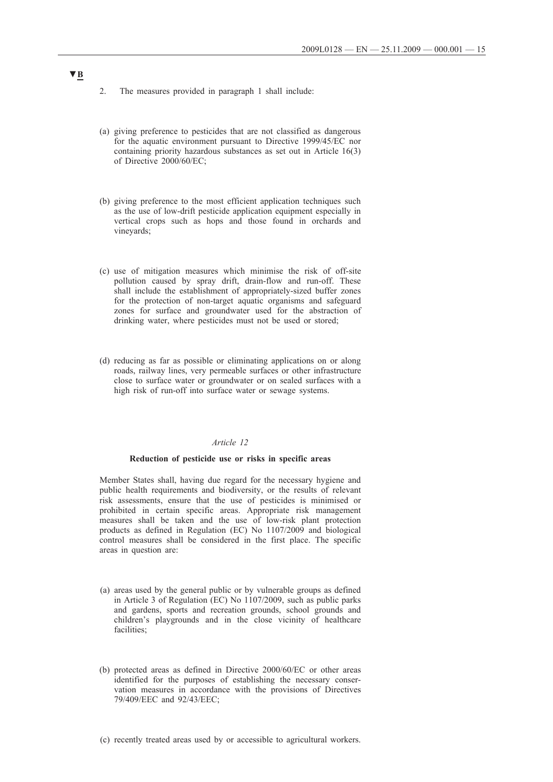- 2. The measures provided in paragraph 1 shall include:
- (a) giving preference to pesticides that are not classified as dangerous for the aquatic environment pursuant to Directive 1999/45/EC nor containing priority hazardous substances as set out in Article 16(3) of Directive 2000/60/EC;
- (b) giving preference to the most efficient application techniques such as the use of low-drift pesticide application equipment especially in vertical crops such as hops and those found in orchards and vineyards;
- (c) use of mitigation measures which minimise the risk of off-site pollution caused by spray drift, drain-flow and run-off. These shall include the establishment of appropriately-sized buffer zones for the protection of non-target aquatic organisms and safeguard zones for surface and groundwater used for the abstraction of drinking water, where pesticides must not be used or stored;
- (d) reducing as far as possible or eliminating applications on or along roads, railway lines, very permeable surfaces or other infrastructure close to surface water or groundwater or on sealed surfaces with a high risk of run-off into surface water or sewage systems.

#### **Reduction of pesticide use or risks in specific areas**

Member States shall, having due regard for the necessary hygiene and public health requirements and biodiversity, or the results of relevant risk assessments, ensure that the use of pesticides is minimised or prohibited in certain specific areas. Appropriate risk management measures shall be taken and the use of low-risk plant protection products as defined in Regulation (EC) No 1107/2009 and biological control measures shall be considered in the first place. The specific areas in question are:

- (a) areas used by the general public or by vulnerable groups as defined in Article 3 of Regulation (EC) No 1107/2009, such as public parks and gardens, sports and recreation grounds, school grounds and children's playgrounds and in the close vicinity of healthcare facilities;
- (b) protected areas as defined in Directive 2000/60/EC or other areas identified for the purposes of establishing the necessary conservation measures in accordance with the provisions of Directives 79/409/EEC and 92/43/EEC;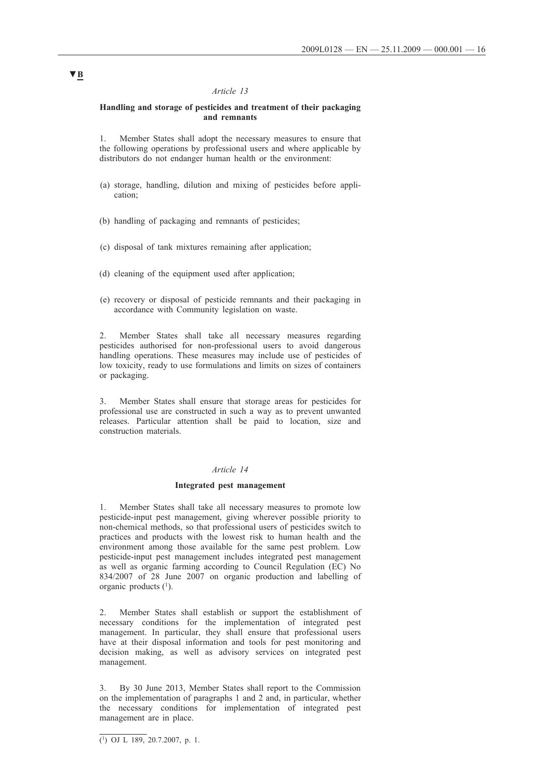### **Handling and storage of pesticides and treatment of their packaging and remnants**

1. Member States shall adopt the necessary measures to ensure that the following operations by professional users and where applicable by distributors do not endanger human health or the environment:

- (a) storage, handling, dilution and mixing of pesticides before application;
- (b) handling of packaging and remnants of pesticides;
- (c) disposal of tank mixtures remaining after application;
- (d) cleaning of the equipment used after application;
- (e) recovery or disposal of pesticide remnants and their packaging in accordance with Community legislation on waste.

2. Member States shall take all necessary measures regarding pesticides authorised for non-professional users to avoid dangerous handling operations. These measures may include use of pesticides of low toxicity, ready to use formulations and limits on sizes of containers or packaging.

3. Member States shall ensure that storage areas for pesticides for professional use are constructed in such a way as to prevent unwanted releases. Particular attention shall be paid to location, size and construction materials.

#### *Article 14*

#### **Integrated pest management**

1. Member States shall take all necessary measures to promote low pesticide-input pest management, giving wherever possible priority to non-chemical methods, so that professional users of pesticides switch to practices and products with the lowest risk to human health and the environment among those available for the same pest problem. Low pesticide-input pest management includes integrated pest management as well as organic farming according to Council Regulation (EC) No 834/2007 of 28 June 2007 on organic production and labelling of organic products (1).

2. Member States shall establish or support the establishment of necessary conditions for the implementation of integrated pest management. In particular, they shall ensure that professional users have at their disposal information and tools for pest monitoring and decision making, as well as advisory services on integrated pest management.

3. By 30 June 2013, Member States shall report to the Commission on the implementation of paragraphs 1 and 2 and, in particular, whether the necessary conditions for implementation of integrated pest management are in place.

 $\overline{(^1)}$  OJ L 189, 20.7.2007, p. 1.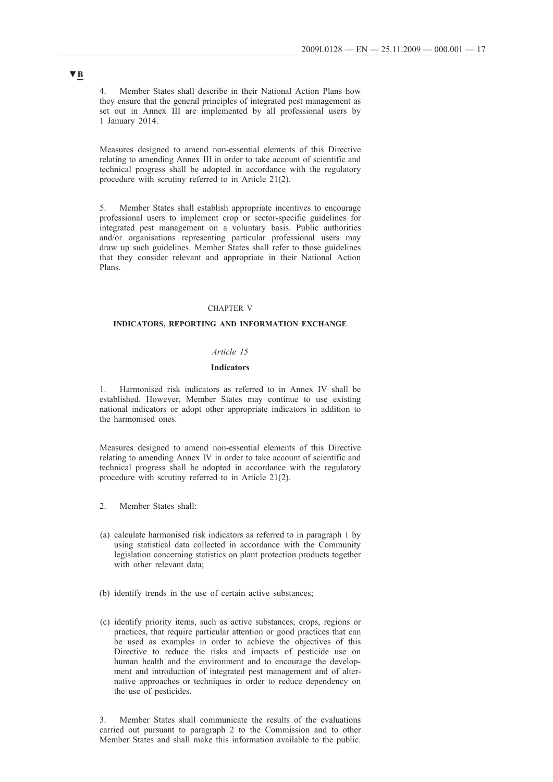4. Member States shall describe in their National Action Plans how they ensure that the general principles of integrated pest management as set out in Annex III are implemented by all professional users by 1 January 2014.

Measures designed to amend non-essential elements of this Directive relating to amending Annex III in order to take account of scientific and technical progress shall be adopted in accordance with the regulatory procedure with scrutiny referred to in Article 21(2).

5. Member States shall establish appropriate incentives to encourage professional users to implement crop or sector-specific guidelines for integrated pest management on a voluntary basis. Public authorities and/or organisations representing particular professional users may draw up such guidelines. Member States shall refer to those guidelines that they consider relevant and appropriate in their National Action Plans.

#### CHAPTER V

#### **INDICATORS, REPORTING AND INFORMATION EXCHANGE**

### *Article 15*

#### **Indicators**

1. Harmonised risk indicators as referred to in Annex IV shall be established. However, Member States may continue to use existing national indicators or adopt other appropriate indicators in addition to the harmonised ones.

Measures designed to amend non-essential elements of this Directive relating to amending Annex IV in order to take account of scientific and technical progress shall be adopted in accordance with the regulatory procedure with scrutiny referred to in Article 21(2).

- 2. Member States shall:
- (a) calculate harmonised risk indicators as referred to in paragraph 1 by using statistical data collected in accordance with the Community legislation concerning statistics on plant protection products together with other relevant data;
- (b) identify trends in the use of certain active substances;
- (c) identify priority items, such as active substances, crops, regions or practices, that require particular attention or good practices that can be used as examples in order to achieve the objectives of this Directive to reduce the risks and impacts of pesticide use on human health and the environment and to encourage the development and introduction of integrated pest management and of alternative approaches or techniques in order to reduce dependency on the use of pesticides.

3. Member States shall communicate the results of the evaluations carried out pursuant to paragraph 2 to the Commission and to other Member States and shall make this information available to the public.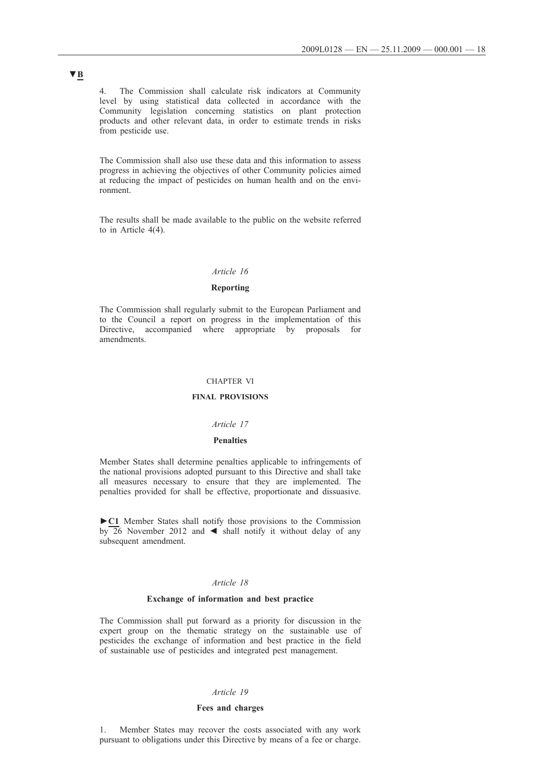4. The Commission shall calculate risk indicators at Community level by using statistical data collected in accordance with the Community legislation concerning statistics on plant protection products and other relevant data, in order to estimate trends in risks from pesticide use.

The Commission shall also use these data and this information to assess progress in achieving the objectives of other Community policies aimed at reducing the impact of pesticides on human health and on the environment.

The results shall be made available to the public on the website referred to in Article 4(4).

#### *Article 16*

### **Reporting**

The Commission shall regularly submit to the European Parliament and to the Council a report on progress in the implementation of this Directive, accompanied where appropriate by proposals for amendments.

### CHAPTER VI

### **FINAL PROVISIONS**

#### *Article 17*

#### **Penalties**

Member States shall determine penalties applicable to infringements of the national provisions adopted pursuant to this Directive and shall take all measures necessary to ensure that they are implemented. The penalties provided for shall be effective, proportionate and dissuasive.

**►C1** Member States shall notify those provisions to the Commission by  $\overline{26}$  November 2012 and  $\blacktriangleleft$  shall notify it without delay of any subsequent amendment.

#### *Article 18*

#### **Exchange of information and best practice**

The Commission shall put forward as a priority for discussion in the expert group on the thematic strategy on the sustainable use of pesticides the exchange of information and best practice in the field of sustainable use of pesticides and integrated pest management.

#### *Article 19*

#### **Fees and charges**

1. Member States may recover the costs associated with any work pursuant to obligations under this Directive by means of a fee or charge.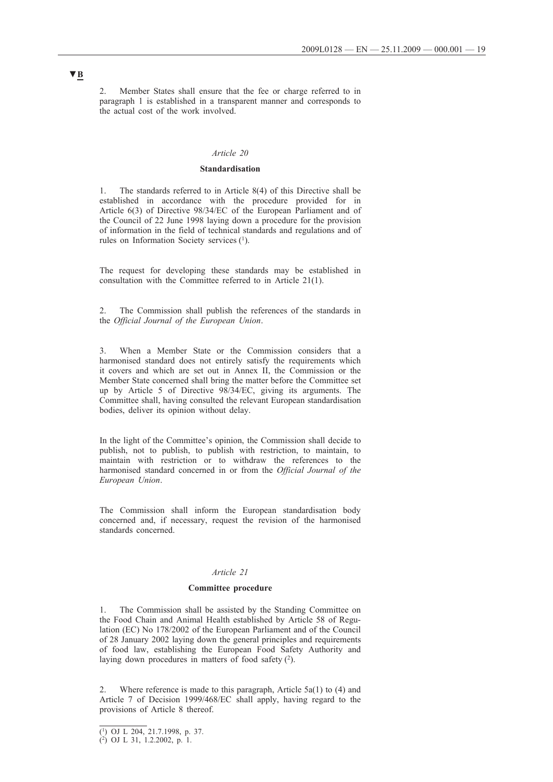2. Member States shall ensure that the fee or charge referred to in paragraph 1 is established in a transparent manner and corresponds to the actual cost of the work involved.

### *Article 20*

#### **Standardisation**

1. The standards referred to in Article 8(4) of this Directive shall be established in accordance with the procedure provided for in Article 6(3) of Directive 98/34/EC of the European Parliament and of the Council of 22 June 1998 laying down a procedure for the provision of information in the field of technical standards and regulations and of rules on Information Society services (1).

The request for developing these standards may be established in consultation with the Committee referred to in Article 21(1).

2. The Commission shall publish the references of the standards in the *Official Journal of the European Union*.

3. When a Member State or the Commission considers that a harmonised standard does not entirely satisfy the requirements which it covers and which are set out in Annex II, the Commission or the Member State concerned shall bring the matter before the Committee set up by Article 5 of Directive 98/34/EC, giving its arguments. The Committee shall, having consulted the relevant European standardisation bodies, deliver its opinion without delay.

In the light of the Committee's opinion, the Commission shall decide to publish, not to publish, to publish with restriction, to maintain, to maintain with restriction or to withdraw the references to the harmonised standard concerned in or from the *Official Journal of the European Union*.

The Commission shall inform the European standardisation body concerned and, if necessary, request the revision of the harmonised standards concerned.

#### *Article 21*

#### **Committee procedure**

1. The Commission shall be assisted by the Standing Committee on the Food Chain and Animal Health established by Article 58 of Regulation (EC) No 178/2002 of the European Parliament and of the Council of 28 January 2002 laying down the general principles and requirements of food law, establishing the European Food Safety Authority and laying down procedures in matters of food safety  $(2)$ .

2. Where reference is made to this paragraph, Article 5a(1) to (4) and Article 7 of Decision 1999/468/EC shall apply, having regard to the provisions of Article 8 thereof.

<sup>(1)</sup> OJ L 204, 21.7.1998, p. 37. (2) OJ L 31, 1.2.2002, p. 1.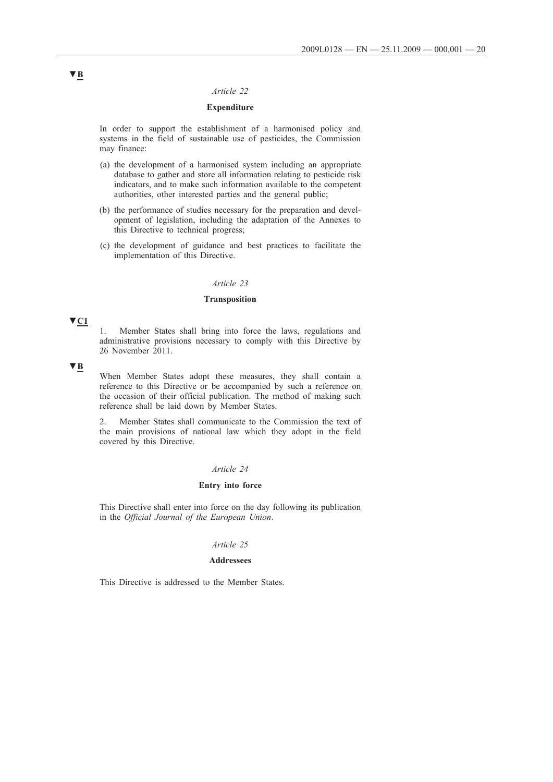## **Expenditure**

In order to support the establishment of a harmonised policy and systems in the field of sustainable use of pesticides, the Commission may finance:

- (a) the development of a harmonised system including an appropriate database to gather and store all information relating to pesticide risk indicators, and to make such information available to the competent authorities, other interested parties and the general public;
- (b) the performance of studies necessary for the preparation and development of legislation, including the adaptation of the Annexes to this Directive to technical progress;
- (c) the development of guidance and best practices to facilitate the implementation of this Directive.

## *Article 23*

#### **Transposition**

### **▼C1**

1. Member States shall bring into force the laws, regulations and administrative provisions necessary to comply with this Directive by 26 November 2011.

#### **▼B**

When Member States adopt these measures, they shall contain a reference to this Directive or be accompanied by such a reference on the occasion of their official publication. The method of making such reference shall be laid down by Member States.

2. Member States shall communicate to the Commission the text of the main provisions of national law which they adopt in the field covered by this Directive.

#### *Article 24*

### **Entry into force**

This Directive shall enter into force on the day following its publication in the *Official Journal of the European Union*.

#### *Article 25*

#### **Addressees**

This Directive is addressed to the Member States.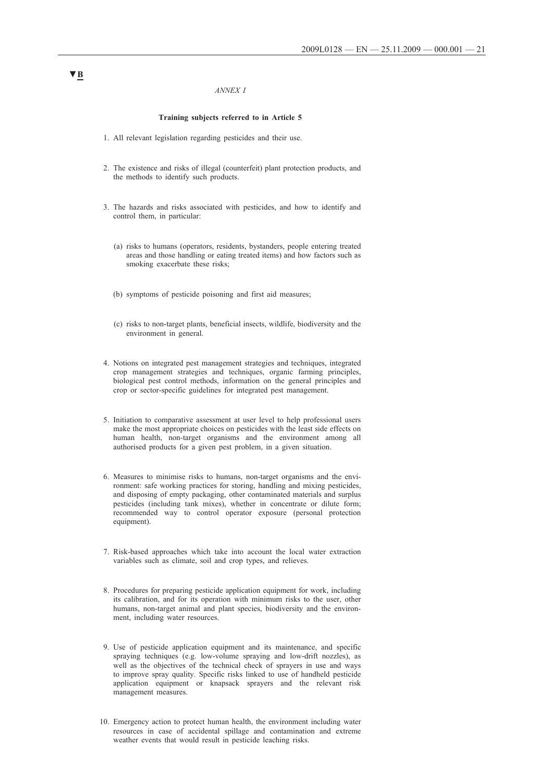#### *ANNEX I*

#### **Training subjects referred to in Article 5**

- 1. All relevant legislation regarding pesticides and their use.
- 2. The existence and risks of illegal (counterfeit) plant protection products, and the methods to identify such products.
- 3. The hazards and risks associated with pesticides, and how to identify and control them, in particular:
	- (a) risks to humans (operators, residents, bystanders, people entering treated areas and those handling or eating treated items) and how factors such as smoking exacerbate these risks;
	- (b) symptoms of pesticide poisoning and first aid measures;
	- (c) risks to non-target plants, beneficial insects, wildlife, biodiversity and the environment in general.
- 4. Notions on integrated pest management strategies and techniques, integrated crop management strategies and techniques, organic farming principles, biological pest control methods, information on the general principles and crop or sector-specific guidelines for integrated pest management.
- 5. Initiation to comparative assessment at user level to help professional users make the most appropriate choices on pesticides with the least side effects on human health, non-target organisms and the environment among all authorised products for a given pest problem, in a given situation.
- 6. Measures to minimise risks to humans, non-target organisms and the environment: safe working practices for storing, handling and mixing pesticides, and disposing of empty packaging, other contaminated materials and surplus pesticides (including tank mixes), whether in concentrate or dilute form; recommended way to control operator exposure (personal protection equipment).
- 7. Risk-based approaches which take into account the local water extraction variables such as climate, soil and crop types, and relieves.
- 8. Procedures for preparing pesticide application equipment for work, including its calibration, and for its operation with minimum risks to the user, other humans, non-target animal and plant species, biodiversity and the environment, including water resources.
- 9. Use of pesticide application equipment and its maintenance, and specific spraying techniques (e.g. low-volume spraying and low-drift nozzles), as well as the objectives of the technical check of sprayers in use and ways to improve spray quality. Specific risks linked to use of handheld pesticide application equipment or knapsack sprayers and the relevant risk management measures.
- 10. Emergency action to protect human health, the environment including water resources in case of accidental spillage and contamination and extreme weather events that would result in pesticide leaching risks.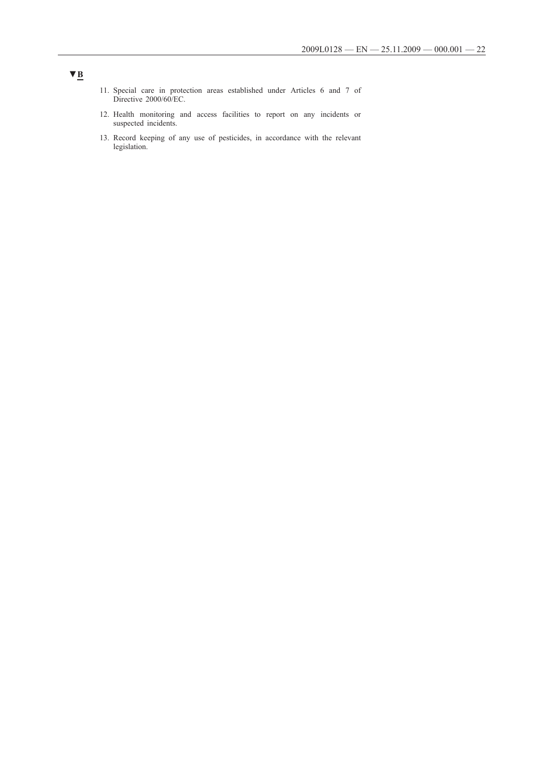- 11. Special care in protection areas established under Articles 6 and 7 of Directive 2000/60/EC.
- 12. Health monitoring and access facilities to report on any incidents or suspected incidents.
- 13. Record keeping of any use of pesticides, in accordance with the relevant legislation.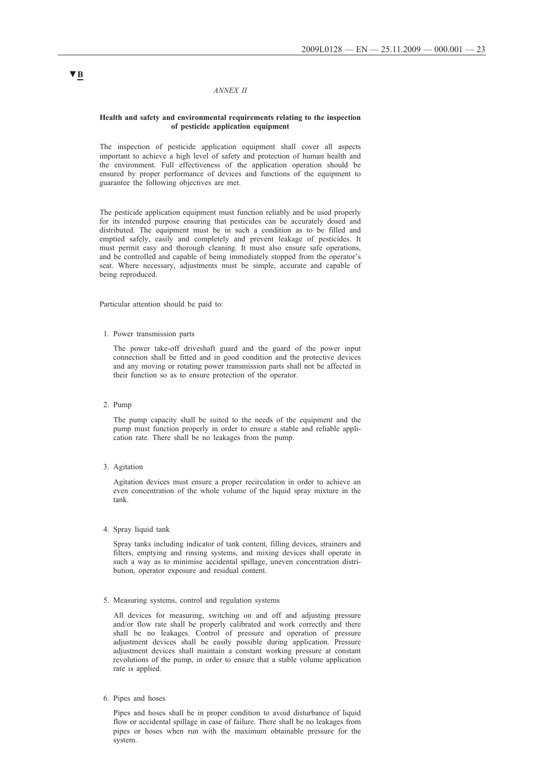#### *ANNEX II*

#### **Health and safety and environmental requirements relating to the inspection of pesticide application equipment**

The inspection of pesticide application equipment shall cover all aspects important to achieve a high level of safety and protection of human health and the environment. Full effectiveness of the application operation should be ensured by proper performance of devices and functions of the equipment to guarantee the following objectives are met.

The pesticide application equipment must function reliably and be used properly for its intended purpose ensuring that pesticides can be accurately dosed and distributed. The equipment must be in such a condition as to be filled and emptied safely, easily and completely and prevent leakage of pesticides. It must permit easy and thorough cleaning. It must also ensure safe operations, and be controlled and capable of being immediately stopped from the operator's seat. Where necessary, adjustments must be simple, accurate and capable of being reproduced.

Particular attention should be paid to:

#### 1. Power transmission parts

The power take-off driveshaft guard and the guard of the power input connection shall be fitted and in good condition and the protective devices and any moving or rotating power transmission parts shall not be affected in their function so as to ensure protection of the operator.

#### 2. Pump

The pump capacity shall be suited to the needs of the equipment and the pump must function properly in order to ensure a stable and reliable application rate. There shall be no leakages from the pump.

3. Agitation

Agitation devices must ensure a proper recirculation in order to achieve an even concentration of the whole volume of the liquid spray mixture in the tank.

4. Spray liquid tank

Spray tanks including indicator of tank content, filling devices, strainers and filters, emptying and rinsing systems, and mixing devices shall operate in such a way as to minimise accidental spillage, uneven concentration distribution, operator exposure and residual content.

5. Measuring systems, control and regulation systems

All devices for measuring, switching on and off and adjusting pressure and/or flow rate shall be properly calibrated and work correctly and there shall be no leakages. Control of pressure and operation of pressure adjustment devices shall be easily possible during application. Pressure adjustment devices shall maintain a constant working pressure at constant revolutions of the pump, in order to ensure that a stable volume application rate is applied.

6. Pipes and hoses

Pipes and hoses shall be in proper condition to avoid disturbance of liquid flow or accidental spillage in case of failure. There shall be no leakages from pipes or hoses when run with the maximum obtainable pressure for the system.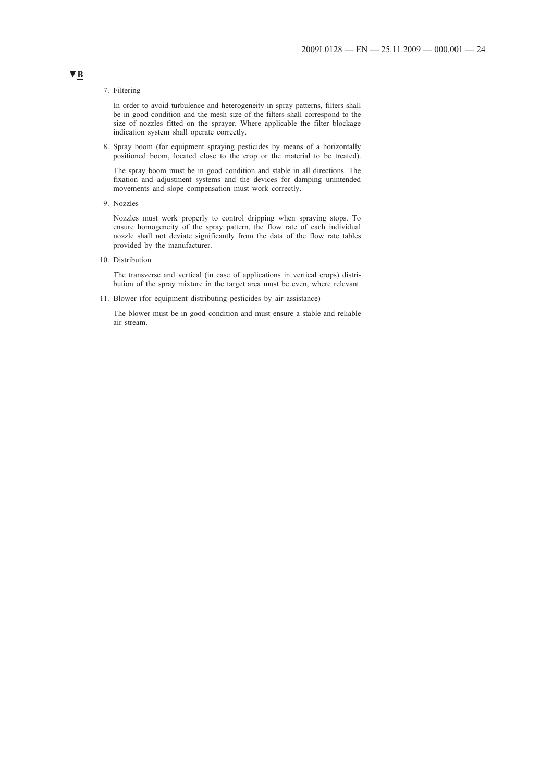#### 7. Filtering

In order to avoid turbulence and heterogeneity in spray patterns, filters shall be in good condition and the mesh size of the filters shall correspond to the size of nozzles fitted on the sprayer. Where applicable the filter blockage indication system shall operate correctly.

8. Spray boom (for equipment spraying pesticides by means of a horizontally positioned boom, located close to the crop or the material to be treated).

The spray boom must be in good condition and stable in all directions. The fixation and adjustment systems and the devices for damping unintended movements and slope compensation must work correctly.

9. Nozzles

Nozzles must work properly to control dripping when spraying stops. To ensure homogeneity of the spray pattern, the flow rate of each individual nozzle shall not deviate significantly from the data of the flow rate tables provided by the manufacturer.

10. Distribution

The transverse and vertical (in case of applications in vertical crops) distribution of the spray mixture in the target area must be even, where relevant.

11. Blower (for equipment distributing pesticides by air assistance)

The blower must be in good condition and must ensure a stable and reliable air stream.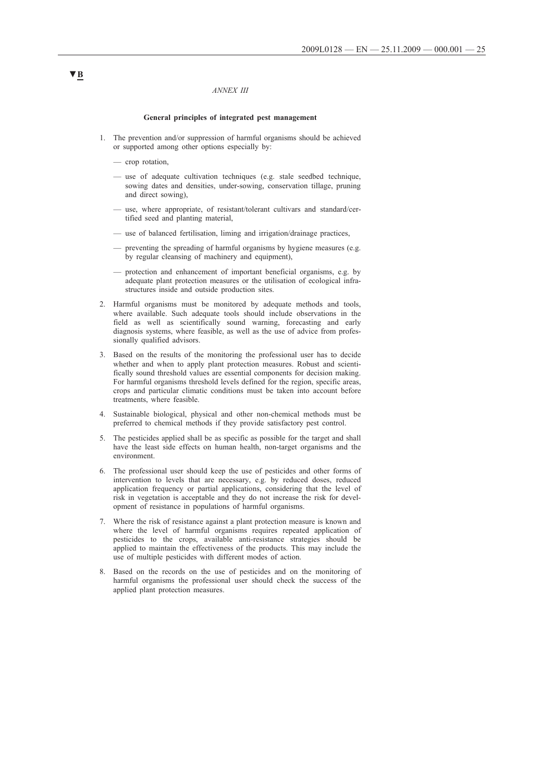#### *ANNEX III*

#### **General principles of integrated pest management**

- 1. The prevention and/or suppression of harmful organisms should be achieved or supported among other options especially by:
	- crop rotation,
	- use of adequate cultivation techniques (e.g. stale seedbed technique, sowing dates and densities, under-sowing, conservation tillage, pruning and direct sowing),
	- use, where appropriate, of resistant/tolerant cultivars and standard/certified seed and planting material,
	- use of balanced fertilisation, liming and irrigation/drainage practices,
	- preventing the spreading of harmful organisms by hygiene measures (e.g. by regular cleansing of machinery and equipment),
	- protection and enhancement of important beneficial organisms, e.g. by adequate plant protection measures or the utilisation of ecological infrastructures inside and outside production sites.
- 2. Harmful organisms must be monitored by adequate methods and tools, where available. Such adequate tools should include observations in the field as well as scientifically sound warning, forecasting and early diagnosis systems, where feasible, as well as the use of advice from professionally qualified advisors.
- 3. Based on the results of the monitoring the professional user has to decide whether and when to apply plant protection measures. Robust and scientifically sound threshold values are essential components for decision making. For harmful organisms threshold levels defined for the region, specific areas, crops and particular climatic conditions must be taken into account before treatments, where feasible.
- 4. Sustainable biological, physical and other non-chemical methods must be preferred to chemical methods if they provide satisfactory pest control.
- 5. The pesticides applied shall be as specific as possible for the target and shall have the least side effects on human health, non-target organisms and the environment.
- 6. The professional user should keep the use of pesticides and other forms of intervention to levels that are necessary, e.g. by reduced doses, reduced application frequency or partial applications, considering that the level of risk in vegetation is acceptable and they do not increase the risk for development of resistance in populations of harmful organisms.
- 7. Where the risk of resistance against a plant protection measure is known and where the level of harmful organisms requires repeated application of pesticides to the crops, available anti-resistance strategies should be applied to maintain the effectiveness of the products. This may include the use of multiple pesticides with different modes of action.
- 8. Based on the records on the use of pesticides and on the monitoring of harmful organisms the professional user should check the success of the applied plant protection measures.